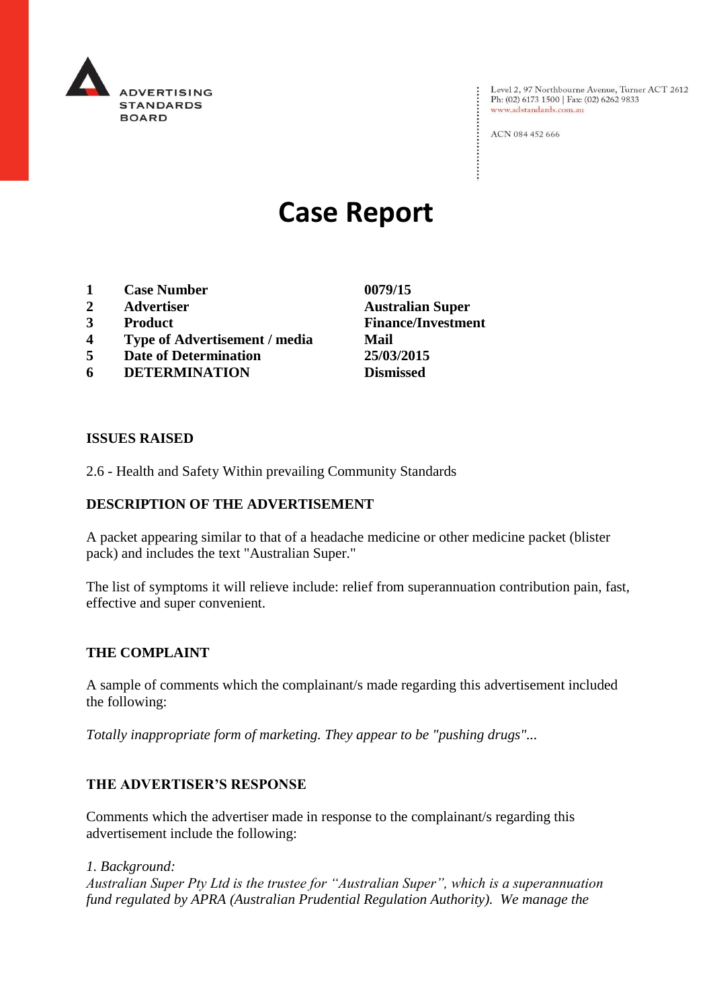

Level 2, 97 Northbourne Avenue, Turner ACT 2612<br>Ph: (02) 6173 1500 | Fax: (02) 6262 9833 www.adstandards.com.au

ACN 084 452 666

# **Case Report**

- **1 Case Number 0079/15**
- **2 Advertiser Australian Super**
- **3 Product Finance/Investment**
- **4 Type of Advertisement / media Mail**
- **5 Date of Determination 25/03/2015**
- **6 DETERMINATION Dismissed**

**ISSUES RAISED**

2.6 - Health and Safety Within prevailing Community Standards

## **DESCRIPTION OF THE ADVERTISEMENT**

A packet appearing similar to that of a headache medicine or other medicine packet (blister pack) and includes the text "Australian Super."

The list of symptoms it will relieve include: relief from superannuation contribution pain, fast, effective and super convenient.

### **THE COMPLAINT**

A sample of comments which the complainant/s made regarding this advertisement included the following:

*Totally inappropriate form of marketing. They appear to be "pushing drugs"...*

### **THE ADVERTISER'S RESPONSE**

Comments which the advertiser made in response to the complainant/s regarding this advertisement include the following:

*1. Background:*

*Australian Super Pty Ltd is the trustee for "Australian Super", which is a superannuation fund regulated by APRA (Australian Prudential Regulation Authority). We manage the*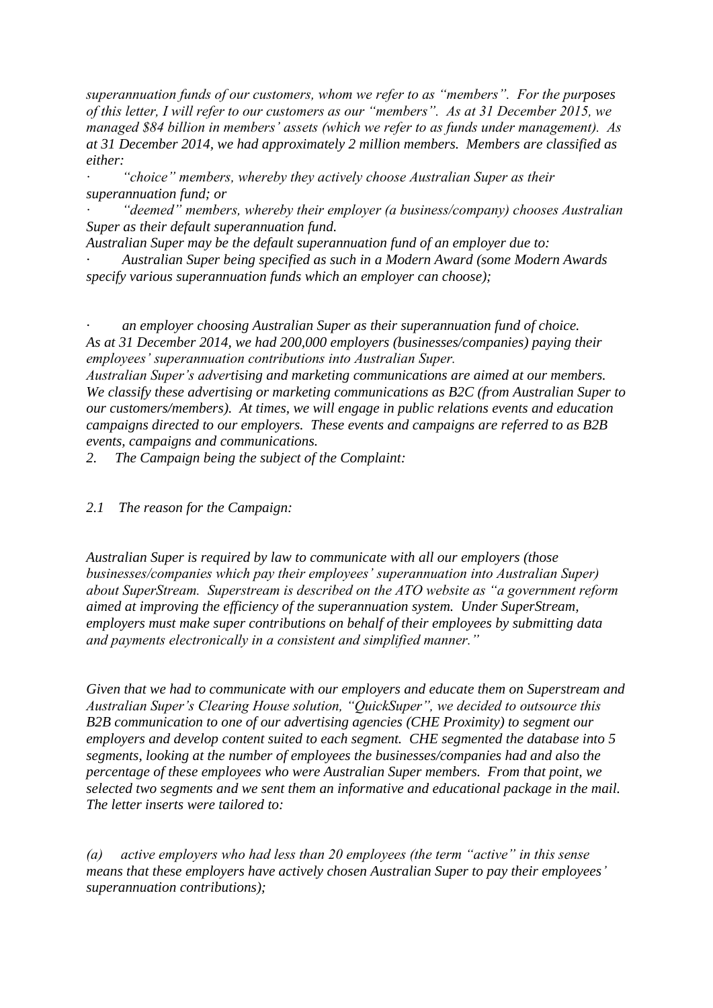*superannuation funds of our customers, whom we refer to as "members". For the purposes of this letter, I will refer to our customers as our "members". As at 31 December 2015, we managed \$84 billion in members' assets (which we refer to as funds under management). As at 31 December 2014, we had approximately 2 million members. Members are classified as either:*

*· "choice" members, whereby they actively choose Australian Super as their superannuation fund; or*

*· "deemed" members, whereby their employer (a business/company) chooses Australian Super as their default superannuation fund.*

*Australian Super may be the default superannuation fund of an employer due to:*

*· Australian Super being specified as such in a Modern Award (some Modern Awards specify various superannuation funds which an employer can choose);*

*· an employer choosing Australian Super as their superannuation fund of choice. As at 31 December 2014, we had 200,000 employers (businesses/companies) paying their employees' superannuation contributions into Australian Super.*

*Australian Super's advertising and marketing communications are aimed at our members. We classify these advertising or marketing communications as B2C (from Australian Super to our customers/members). At times, we will engage in public relations events and education campaigns directed to our employers. These events and campaigns are referred to as B2B events, campaigns and communications.*

*2. The Campaign being the subject of the Complaint:*

*2.1 The reason for the Campaign:*

*Australian Super is required by law to communicate with all our employers (those businesses/companies which pay their employees' superannuation into Australian Super) about SuperStream. Superstream is described on the ATO website as "a government reform aimed at improving the efficiency of the superannuation system. Under SuperStream, employers must make super contributions on behalf of their employees by submitting data and payments electronically in a consistent and simplified manner."*

*Given that we had to communicate with our employers and educate them on Superstream and Australian Super's Clearing House solution, "QuickSuper", we decided to outsource this B2B communication to one of our advertising agencies (CHE Proximity) to segment our employers and develop content suited to each segment. CHE segmented the database into 5 segments, looking at the number of employees the businesses/companies had and also the percentage of these employees who were Australian Super members. From that point, we selected two segments and we sent them an informative and educational package in the mail. The letter inserts were tailored to:*

*(a) active employers who had less than 20 employees (the term "active" in this sense means that these employers have actively chosen Australian Super to pay their employees' superannuation contributions);*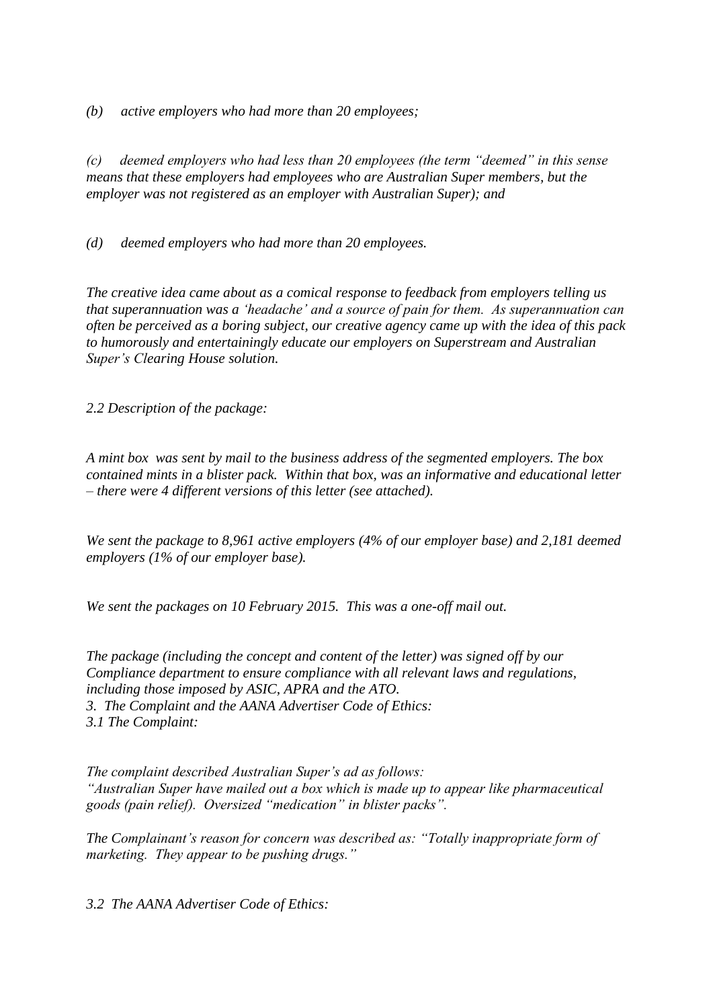*(b) active employers who had more than 20 employees;*

*(c) deemed employers who had less than 20 employees (the term "deemed" in this sense means that these employers had employees who are Australian Super members, but the employer was not registered as an employer with Australian Super); and*

*(d) deemed employers who had more than 20 employees.*

*The creative idea came about as a comical response to feedback from employers telling us that superannuation was a 'headache' and a source of pain for them. As superannuation can often be perceived as a boring subject, our creative agency came up with the idea of this pack to humorously and entertainingly educate our employers on Superstream and Australian Super's Clearing House solution.*

*2.2 Description of the package:*

*A mint box was sent by mail to the business address of the segmented employers. The box contained mints in a blister pack. Within that box, was an informative and educational letter – there were 4 different versions of this letter (see attached).*

*We sent the package to 8,961 active employers (4% of our employer base) and 2,181 deemed employers (1% of our employer base).*

*We sent the packages on 10 February 2015. This was a one-off mail out.*

*The package (including the concept and content of the letter) was signed off by our Compliance department to ensure compliance with all relevant laws and regulations, including those imposed by ASIC, APRA and the ATO. 3. The Complaint and the AANA Advertiser Code of Ethics: 3.1 The Complaint:*

*The complaint described Australian Super's ad as follows: "Australian Super have mailed out a box which is made up to appear like pharmaceutical goods (pain relief). Oversized "medication" in blister packs".*

*The Complainant's reason for concern was described as: "Totally inappropriate form of marketing. They appear to be pushing drugs."*

*3.2 The AANA Advertiser Code of Ethics:*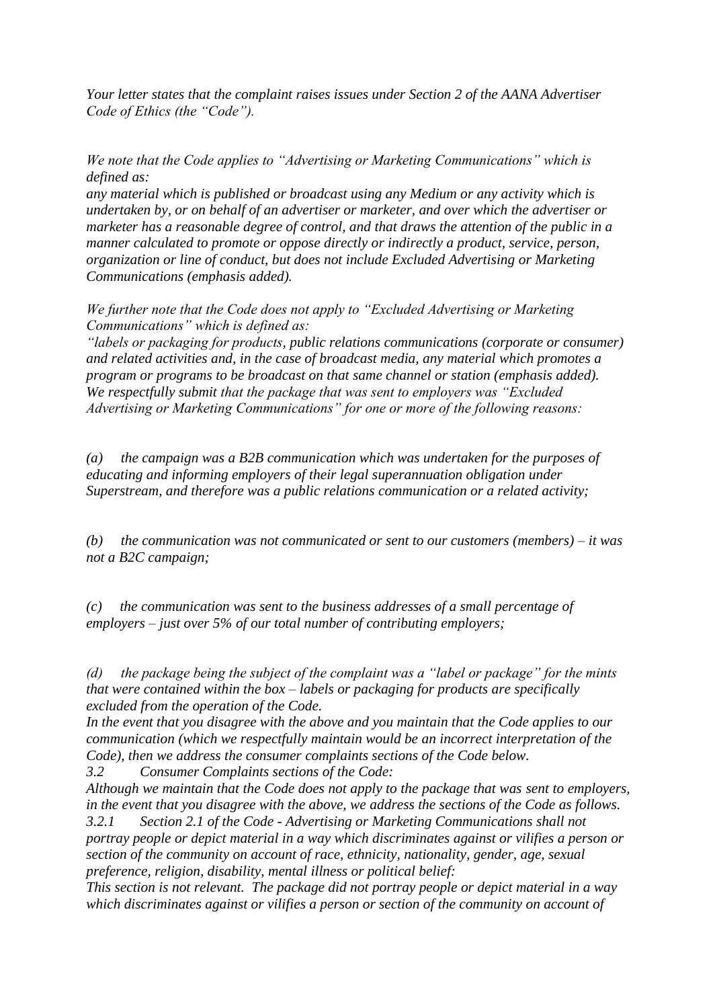*Your letter states that the complaint raises issues under Section 2 of the AANA Advertiser Code of Ethics (the "Code").*

*We note that the Code applies to "Advertising or Marketing Communications" which is defined as:*

*any material which is published or broadcast using any Medium or any activity which is undertaken by, or on behalf of an advertiser or marketer, and over which the advertiser or marketer has a reasonable degree of control, and that draws the attention of the public in a manner calculated to promote or oppose directly or indirectly a product, service, person, organization or line of conduct, but does not include Excluded Advertising or Marketing Communications (emphasis added).*

*We further note that the Code does not apply to "Excluded Advertising or Marketing Communications" which is defined as:*

*"labels or packaging for products, public relations communications (corporate or consumer) and related activities and, in the case of broadcast media, any material which promotes a program or programs to be broadcast on that same channel or station (emphasis added). We respectfully submit that the package that was sent to employers was "Excluded Advertising or Marketing Communications" for one or more of the following reasons:*

*(a) the campaign was a B2B communication which was undertaken for the purposes of educating and informing employers of their legal superannuation obligation under Superstream, and therefore was a public relations communication or a related activity;*

*(b) the communication was not communicated or sent to our customers (members) – it was not a B2C campaign;*

*(c) the communication was sent to the business addresses of a small percentage of employers – just over 5% of our total number of contributing employers;*

*(d) the package being the subject of the complaint was a "label or package" for the mints that were contained within the box – labels or packaging for products are specifically excluded from the operation of the Code.*

*In the event that you disagree with the above and you maintain that the Code applies to our communication (which we respectfully maintain would be an incorrect interpretation of the Code), then we address the consumer complaints sections of the Code below.*

*3.2 Consumer Complaints sections of the Code:*

*Although we maintain that the Code does not apply to the package that was sent to employers, in the event that you disagree with the above, we address the sections of the Code as follows. 3.2.1 Section 2.1 of the Code - Advertising or Marketing Communications shall not* 

*portray people or depict material in a way which discriminates against or vilifies a person or section of the community on account of race, ethnicity, nationality, gender, age, sexual preference, religion, disability, mental illness or political belief:*

*This section is not relevant. The package did not portray people or depict material in a way which discriminates against or vilifies a person or section of the community on account of*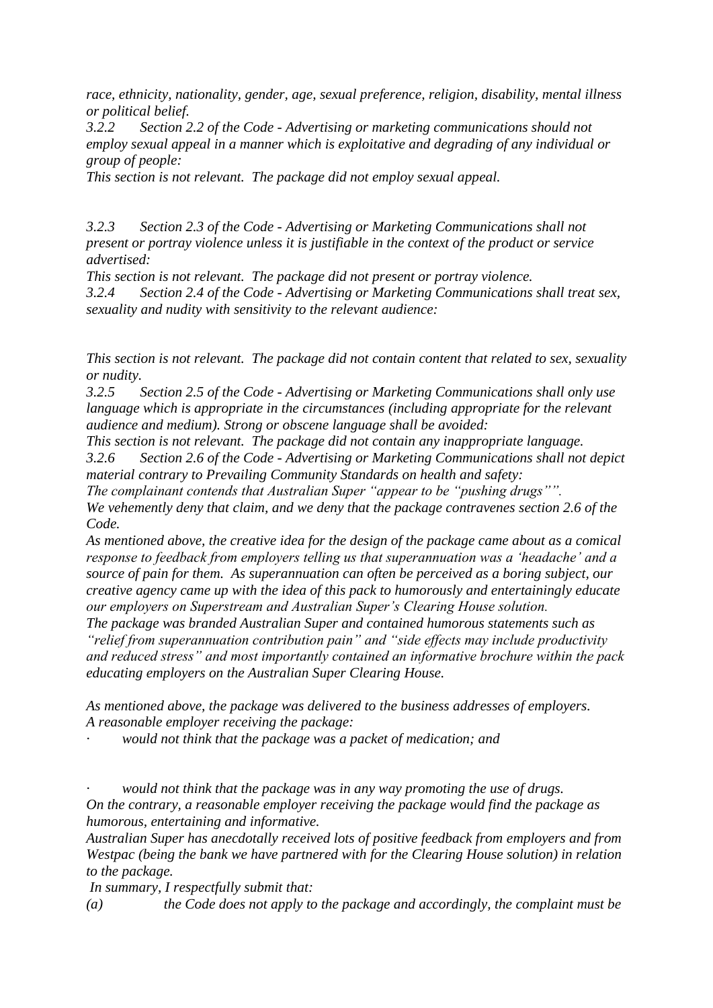*race, ethnicity, nationality, gender, age, sexual preference, religion, disability, mental illness or political belief.*

*3.2.2 Section 2.2 of the Code - Advertising or marketing communications should not employ sexual appeal in a manner which is exploitative and degrading of any individual or group of people:*

*This section is not relevant. The package did not employ sexual appeal.*

*3.2.3 Section 2.3 of the Code - Advertising or Marketing Communications shall not present or portray violence unless it is justifiable in the context of the product or service advertised:*

*This section is not relevant. The package did not present or portray violence. 3.2.4 Section 2.4 of the Code - Advertising or Marketing Communications shall treat sex, sexuality and nudity with sensitivity to the relevant audience:*

*This section is not relevant. The package did not contain content that related to sex, sexuality or nudity.*

*3.2.5 Section 2.5 of the Code - Advertising or Marketing Communications shall only use language which is appropriate in the circumstances (including appropriate for the relevant audience and medium). Strong or obscene language shall be avoided:*

*This section is not relevant. The package did not contain any inappropriate language. 3.2.6 Section 2.6 of the Code - Advertising or Marketing Communications shall not depict material contrary to Prevailing Community Standards on health and safety:*

*The complainant contends that Australian Super "appear to be "pushing drugs"".*

*We vehemently deny that claim, and we deny that the package contravenes section 2.6 of the Code.*

*As mentioned above, the creative idea for the design of the package came about as a comical response to feedback from employers telling us that superannuation was a 'headache' and a source of pain for them. As superannuation can often be perceived as a boring subject, our creative agency came up with the idea of this pack to humorously and entertainingly educate our employers on Superstream and Australian Super's Clearing House solution.*

*The package was branded Australian Super and contained humorous statements such as "relief from superannuation contribution pain" and "side effects may include productivity and reduced stress" and most importantly contained an informative brochure within the pack educating employers on the Australian Super Clearing House.*

*As mentioned above, the package was delivered to the business addresses of employers. A reasonable employer receiving the package:*

*· would not think that the package was a packet of medication; and*

*· would not think that the package was in any way promoting the use of drugs. On the contrary, a reasonable employer receiving the package would find the package as humorous, entertaining and informative.*

*Australian Super has anecdotally received lots of positive feedback from employers and from Westpac (being the bank we have partnered with for the Clearing House solution) in relation to the package.*

*In summary, I respectfully submit that:*

*(a) the Code does not apply to the package and accordingly, the complaint must be*